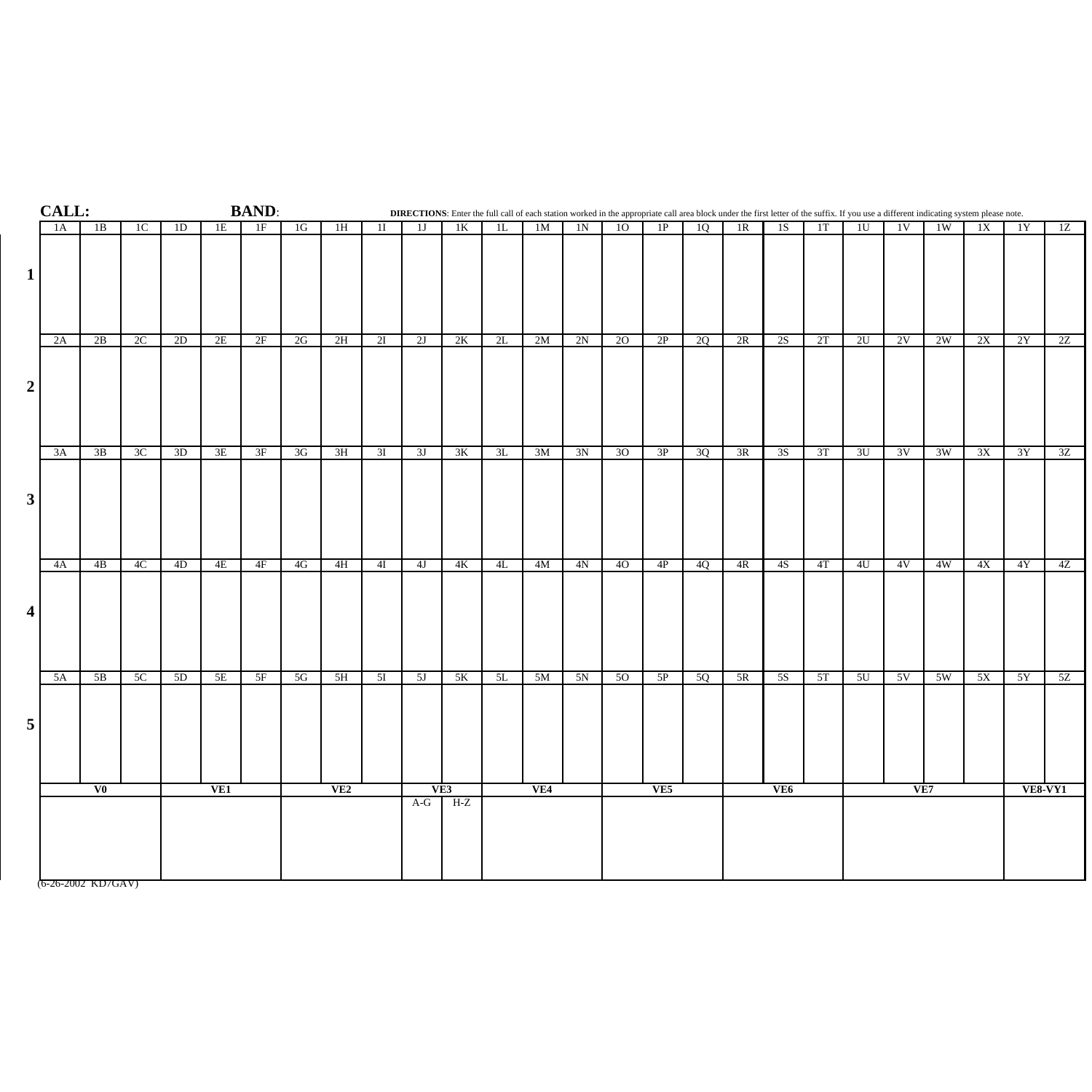(6-26-2002 KD7GAV)

VE8-VY1

f the suffix. If you use a different indicating system please note.

|                         | <b>CALL:</b>             |                 |                |    |     | <b>BAND:</b> |                            |                 |                 |              |    |    |                |                 |                 |                 |    |                 |                 |    | DIRECTIONS: Enter the full call of each station worked in the appropriate call area block under the first letter of the suffix. If you use a different indicating system please note. |    |     |                 |         |                 |
|-------------------------|--------------------------|-----------------|----------------|----|-----|--------------|----------------------------|-----------------|-----------------|--------------|----|----|----------------|-----------------|-----------------|-----------------|----|-----------------|-----------------|----|---------------------------------------------------------------------------------------------------------------------------------------------------------------------------------------|----|-----|-----------------|---------|-----------------|
|                         | 1A                       | 1B              | 1 <sup>C</sup> | 1D | 1E  | 1F           | 1G                         | 1H              | 11              | 1J           | 1K | 1L | 1 <sub>M</sub> | 1N              | 10              | 1P              | 1Q | $\overline{1R}$ | 1S              | 1T | 1 <sup>U</sup>                                                                                                                                                                        | 1V | 1W  | 1X              | 1Y      | $\overline{1Z}$ |
|                         |                          |                 |                |    |     |              |                            |                 |                 |              |    |    |                |                 |                 |                 |    |                 |                 |    |                                                                                                                                                                                       |    |     |                 |         |                 |
|                         | 2A                       | $\overline{2B}$ | 2C             | 2D | 2E  | 2F           | 2G                         | 2H              | 2I              | 2J           | 2K | 2L | 2M             | 2N              | $\overline{20}$ | $\overline{2P}$ | 2Q | $\overline{2R}$ | $\overline{2S}$ | 2T | 2U                                                                                                                                                                                    | 2V | 2W  | $\overline{2X}$ | 2Y      | 2Z              |
| $\mathbf 2$             |                          |                 |                |    |     |              |                            |                 |                 |              |    |    |                |                 |                 |                 |    |                 |                 |    |                                                                                                                                                                                       |    |     |                 |         |                 |
|                         | 3A                       | $\overline{3B}$ | 3C             | 3D | 3E  | 3F           | $\overline{3G}$            | $\overline{3H}$ | $\overline{3I}$ | 3J           | 3K | 3L | 3M             | $\overline{3N}$ | $\overline{30}$ | $\overline{3P}$ | 3Q | $\overline{3R}$ | $\overline{3S}$ | 3T | 3U                                                                                                                                                                                    | 3V | 3W  | 3X              | 3Y      | $\overline{3Z}$ |
| 3 <sup>1</sup>          |                          |                 |                |    |     |              |                            |                 |                 |              |    |    |                |                 |                 |                 |    |                 |                 |    |                                                                                                                                                                                       |    |     |                 |         |                 |
|                         | 4A                       | 4B              | 4C             | 4D | 4E  | 4F           | 4G                         | 4H              | 4I              | 4J           | 4K | 4L | 4M             | 4N              | $\overline{40}$ | 4P              | 4Q | 4R              | 4S              | 4T | 4U                                                                                                                                                                                    | 4V | 4W  | $\overline{4X}$ | 4Y      | 4Z              |
| $\overline{\mathbf{4}}$ |                          |                 |                |    |     |              |                            |                 |                 |              |    |    |                |                 |                 |                 |    |                 |                 |    |                                                                                                                                                                                       |    |     |                 |         |                 |
|                         | 5A                       | $\overline{5B}$ | 5C             | 5D | 5E  | 5F           | $\overline{\phantom{a}5G}$ | 5H              | 5I              | 5J           | 5K | 5L | 5M             | 5N              | $\overline{50}$ | 5P              | 5Q | 5R              | $\overline{5S}$ | 5T | 5U                                                                                                                                                                                    | 5V | 5W  | 5X              | 5Y      | $\overline{5Z}$ |
| 5                       |                          |                 |                |    |     |              |                            |                 |                 |              |    |    |                |                 |                 |                 |    |                 |                 |    |                                                                                                                                                                                       |    |     |                 |         |                 |
|                         | $\overline{\mathbf{V0}}$ |                 |                |    | VE1 |              | VE2                        |                 |                 | VE3<br>$A-G$ |    |    | VE4            |                 |                 | VE5             |    |                 | VE <sub>6</sub> |    |                                                                                                                                                                                       |    | VE7 |                 | VE8-VY1 |                 |
|                         |                          |                 |                |    |     |              |                            |                 | $H-Z$           |              |    |    |                |                 |                 |                 |    |                 |                 |    |                                                                                                                                                                                       |    |     |                 |         |                 |